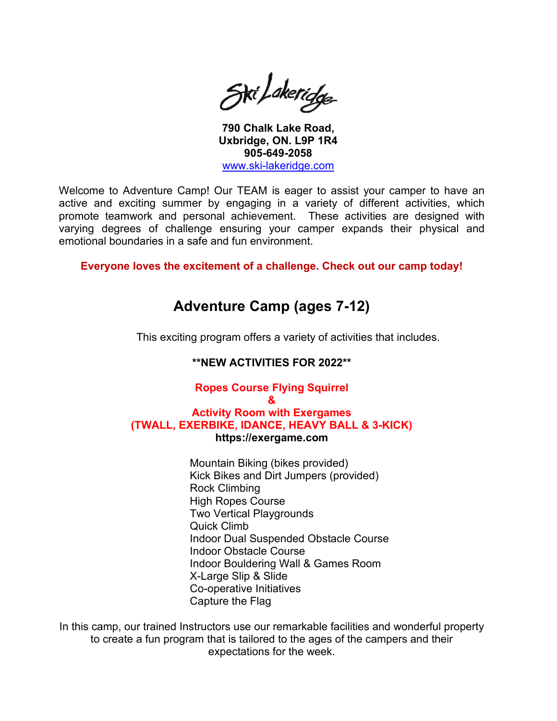Ski Lakeridge

**790 Chalk Lake Road, Uxbridge, ON. L9P 1R4 905-649-2058**  [www.ski-lakeridge.com](http://www.ski-lakeridge.com/)

Welcome to Adventure Camp! Our TEAM is eager to assist your camper to have an active and exciting summer by engaging in a variety of different activities, which promote teamwork and personal achievement. These activities are designed with varying degrees of challenge ensuring your camper expands their physical and emotional boundaries in a safe and fun environment.

**Everyone loves the excitement of a challenge. Check out our camp today!**

# **Adventure Camp (ages 7-12)**

This exciting program offers a variety of activities that includes.

## **\*\*NEW ACTIVITIES FOR 2022\*\***

## **Ropes Course Flying Squirrel**

## **&**

## **Activity Room with Exergames (TWALL, EXERBIKE, IDANCE, HEAVY BALL & 3-KICK) https://exergame.com**

Mountain Biking (bikes provided) Kick Bikes and Dirt Jumpers (provided) Rock Climbing High Ropes Course Two Vertical Playgrounds Quick Climb Indoor Dual Suspended Obstacle Course Indoor Obstacle Course Indoor Bouldering Wall & Games Room X-Large Slip & Slide Co-operative Initiatives Capture the Flag

In this camp, our trained Instructors use our remarkable facilities and wonderful property to create a fun program that is tailored to the ages of the campers and their expectations for the week.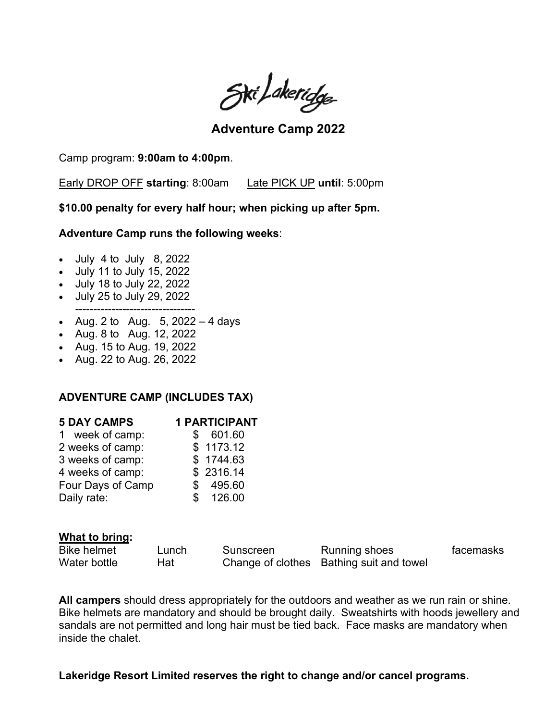Ski Lakeridge

**Adventure Camp 2022** 

Camp program: **9:00am to 4:00pm**.

Early DROP OFF **starting**: 8:00am Late PICK UP **until**: 5:00pm

**\$10.00 penalty for every half hour; when picking up after 5pm.**

**Adventure Camp runs the following weeks**:

- July 4 to July 8, 2022
- July 11 to July 15, 2022
- July 18 to July 22, 2022
- July 25 to July 29, 2022
- --------------------------------- • Aug. 2 to Aug.  $5, 2022 - 4$  days
- Aug. 8 to Aug. 12, 2022
- Aug. 15 to Aug. 19, 2022
- Aug. 22 to Aug. 26, 2022

## **ADVENTURE CAMP (INCLUDES TAX)**

| <b>5 DAY CAMPS</b> | <b>1 PARTICIPANT</b> |
|--------------------|----------------------|
| week of camp:<br>1 | 601.60               |
| 2 weeks of camp:   | \$1173.12            |
| 3 weeks of camp:   | \$1744.63            |
| 4 weeks of camp:   | \$2316.14            |
| Four Days of Camp  | 495.60               |
| Daily rate:        | 126.00<br>S          |
|                    |                      |

## **What to bring:**

| <b>Bike helmet</b> | Lunch | Sunscreen | Running shoes                            | facemasks |
|--------------------|-------|-----------|------------------------------------------|-----------|
| Water bottle       | Hat   |           | Change of clothes Bathing suit and towel |           |

**All campers** should dress appropriately for the outdoors and weather as we run rain or shine. Bike helmets are mandatory and should be brought daily. Sweatshirts with hoods jewellery and sandals are not permitted and long hair must be tied back. Face masks are mandatory when inside the chalet.

**Lakeridge Resort Limited reserves the right to change and/or cancel programs.**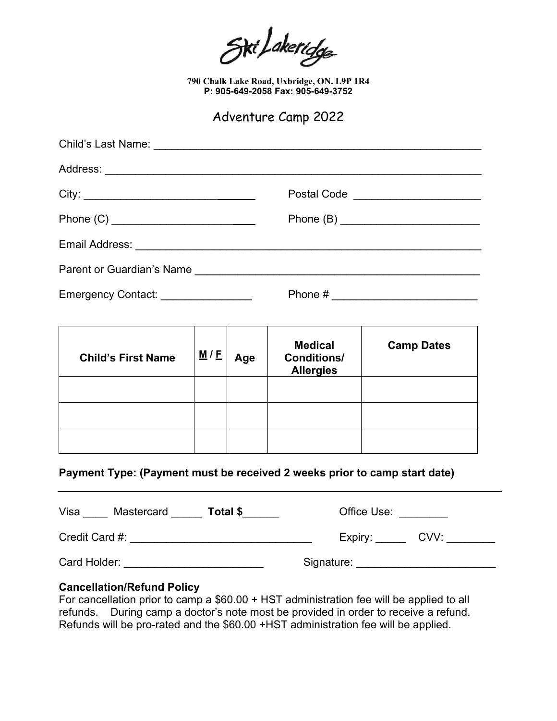Siri Lakeridge

**790 Chalk Lake Road, Uxbridge, ON. L9P 1R4 P: 905-649-2058 Fax: 905-649-3752**

Adventure Camp 2022

| Postal Code ________________________ |
|--------------------------------------|
|                                      |
|                                      |
| Parent or Guardian's Name            |
|                                      |
|                                      |

| <b>Child's First Name</b> | M/E | Age | <b>Medical</b><br><b>Conditions/</b><br><b>Allergies</b> | <b>Camp Dates</b> |
|---------------------------|-----|-----|----------------------------------------------------------|-------------------|
|                           |     |     |                                                          |                   |
|                           |     |     |                                                          |                   |
|                           |     |     |                                                          |                   |

## **Payment Type: (Payment must be received 2 weeks prior to camp start date)**

| Visa<br><b>Mastercard</b><br>Total \$ | Office Use:     |
|---------------------------------------|-----------------|
| Credit Card #:                        | CVV:<br>Expiry: |
| Card Holder:                          | Signature:      |

## **Cancellation/Refund Policy**

For cancellation prior to camp a \$60.00 + HST administration fee will be applied to all refunds. During camp a doctor's note most be provided in order to receive a refund. Refunds will be pro-rated and the \$60.00 +HST administration fee will be applied.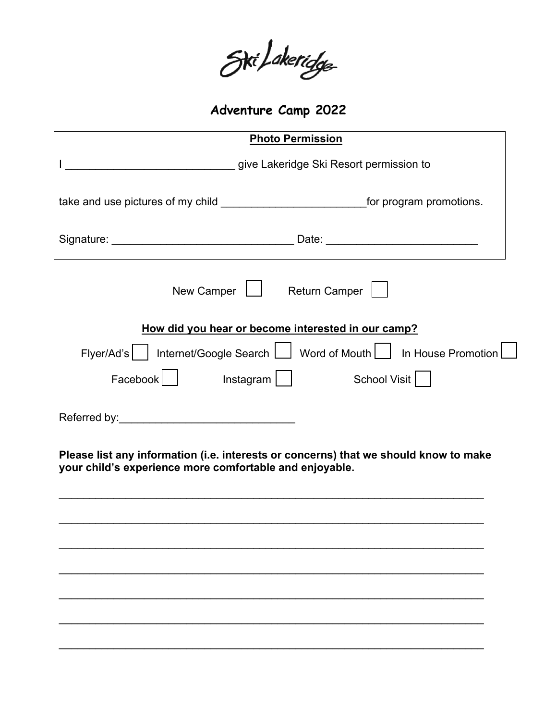Ski/akeridge

**Adventure Camp 2022** 

|                                                                                                                                                 |                                                                                | <b>Photo Permission</b> |  |
|-------------------------------------------------------------------------------------------------------------------------------------------------|--------------------------------------------------------------------------------|-------------------------|--|
|                                                                                                                                                 | give Lakeridge Ski Resort permission to                                        |                         |  |
| take and use pictures of my child ______________________________for program promotions.                                                         |                                                                                |                         |  |
|                                                                                                                                                 |                                                                                |                         |  |
|                                                                                                                                                 | New Camper   Return Camper                                                     |                         |  |
|                                                                                                                                                 | How did you hear or become interested in our camp?                             |                         |  |
|                                                                                                                                                 | Flyer/Ad's     Internet/Google Search     Word of Mouth     In House Promotion |                         |  |
|                                                                                                                                                 | Facebook   Instagram                                                           |                         |  |
|                                                                                                                                                 |                                                                                |                         |  |
|                                                                                                                                                 |                                                                                |                         |  |
| Please list any information (i.e. interests or concerns) that we should know to make<br>your child's experience more comfortable and enjoyable. |                                                                                |                         |  |
|                                                                                                                                                 |                                                                                |                         |  |
|                                                                                                                                                 |                                                                                |                         |  |
|                                                                                                                                                 |                                                                                |                         |  |
|                                                                                                                                                 |                                                                                |                         |  |
|                                                                                                                                                 |                                                                                |                         |  |